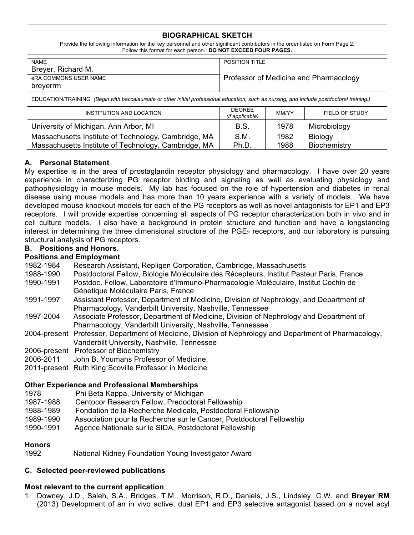# **BIOGRAPHICAL SKETCH**

Provide the following information for the key personnel and other significant contributors in the order listed on Form Page 2. Follow this format for each person. **DO NOT EXCEED FOUR PAGES.**

| <b>NAME</b>           | <b>POSITION TITLE</b>                  |  |
|-----------------------|----------------------------------------|--|
| Breyer, Richard M.    |                                        |  |
| eRA COMMONS USER NAME | Professor of Medicine and Pharmacology |  |
| breverrm              |                                        |  |

EDUCATION/TRAINING *(Begin with baccalaureate or other initial professional education, such as nursing, and include postdoctoral training.)*

| INSTITUTION AND LOCATION                             | <b>DEGREE</b><br>(if applicable) | MM/YY | FIELD OF STUDY |
|------------------------------------------------------|----------------------------------|-------|----------------|
| University of Michigan, Ann Arbor, MI                | B.S.                             | 1978  | Microbiology   |
| Massachusetts Institute of Technology, Cambridge, MA | S.M.                             | 1982  | Biology        |
| Massachusetts Institute of Technology, Cambridge, MA | Ph.D.                            | 1988  | Biochemistry   |

## **A. Personal Statement**

My expertise is in the area of prostaglandin receptor physiology and pharmacology. I have over 20 years experience in characterizing PG receptor binding and signaling as well as evaluating physiology and pathophysiology in mouse models. My lab has focused on the role of hypertension and diabetes in renal disease using mouse models and has more than 10 years experience with a variety of models. We have developed mouse knockout models for each of the PG receptors as well as novel antagonists for EP1 and EP3 receptors. I will provide expertise concerning all aspects of PG receptor characterization both in vivo and in cell culture models. I also have a background in protein structure and function and have a longstanding interest in determining the three dimensional structure of the  $PGE<sub>2</sub>$  receptors, and our laboratory is pursuing structural analysis of PG receptors.

### **B. Positions and Honors.**

## **Positions and Employment**

- 1982-1984 Research Assistant, Repligen Corporation, Cambridge, Massachusetts
- 1988-1990 Postdoctoral Fellow, Biologie Moléculaire des Récepteurs, Institut Pasteur Paris, France
- 1990-1991 Postdoc. Fellow, Laboratoire d'Immuno-Pharmacologie Moléculaire, Institut Cochin de Génetique Moléculaire Paris, France
- 1991-1997 Assistant Professor, Department of Medicine, Division of Nephrology, and Department of Pharmacology, Vanderbilt University, Nashville, Tennessee
- 1997-2004 Associate Professor, Department of Medicine, Division of Nephrology and Department of Pharmacology, Vanderbilt University, Nashville, Tennessee
- 2004-present Professor, Department of Medicine, Division of Nephrology and Department of Pharmacology, Vanderbilt University, Nashville, Tennessee
- 2006-present Professor of Biochemistry
- 2006-2011 John B. Youmans Professor of Medicine,
- 2011-present Ruth King Scoville Professor in Medicine

### **Other Experience and Professional Memberships**

- 1978 Phi Beta Kappa, University of Michigan
- 1987-1988 Centocor Research Fellow, Predoctoral Fellowship
- 1988-1989 Fondation de la Recherche Medicale, Postdoctoral Fellowship
- 1989-1990 Association pour la Recherche sur le Cancer, Postdoctoral Fellowship
- 1990-1991 Agence Nationale sur le SIDA, Postdoctoral Fellowship

### **Honors**

1992 National Kidney Foundation Young Investigator Award

# **C. Selected peer-reviewed publications**

# **Most relevant to the current application**

1. Downey, J.D., Saleh, S.A., Bridges, T.M., Morrison, R.D., Daniels, J.S., Lindsley, C.W. and **Breyer RM** (2013) Development of an in vivo active, dual EP1 and EP3 selective antagonist based on a novel acyl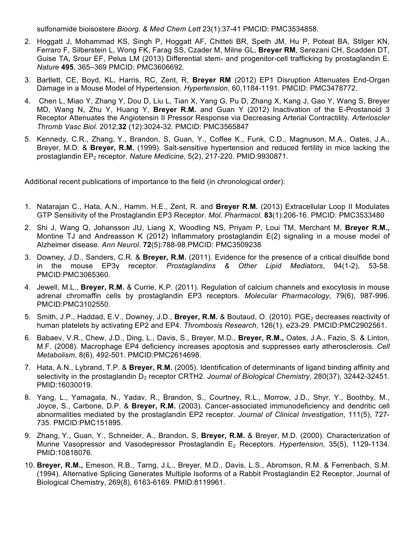sulfonamide bioisostere *Bioorg. & Med Chem Lett* 23(1):37-41 PMCID: PMC3534858.

- 2. Hoggatt J, Mohammad KS, Singh P, Hoggatt AF, Chitteti BR, Speth JM, Hu P, Poteat BA, Stilger KN, Ferraro F, Silberstein L, Wong FK, Farag SS, Czader M, Milne GL, **Breyer RM**, Serezani CH, Scadden DT, Guise TA, Srour EF, Pelus LM (2013) Differential stem- and progenitor-cell trafficking by prostaglandin E. *Nature* **495**, 365–369 PMCID: PMC3606692*.*
- 3. Bartlett, CE, Boyd, KL, Harris, RC, Zent, R, **Breyer RM** (2012) EP1 Disruption Attenuates End-Organ Damage in a Mouse Model of Hypertension. *Hypertension*, 60,1184-1191. PMCID: PMC3478772.
- 4. Chen L, Miao Y, Zhang Y, Dou D, Liu L, Tian X, Yang G, Pu D, Zhang X, Kang J, Gao Y, Wang S, Breyer MD, Wang N, Zhu Y, Huang Y, **Breyer R.M.** and Guan Y (2012) Inactivation of the E-Prostanoid 3 Receptor Attenuates the Angiotensin II Pressor Response via Decreasing Arterial Contractility. *Arterioscler Thromb Vasc Biol.* 2012;**32** (12):3024-32. PMCID: PMC3565847
- 5. Kennedy, C.R., Zhang, Y., Brandon, S, Guan, Y., Coffee K., Funk, C.D., Magnuson, M.A., Oates, J.A., Breyer, M.D. & **Breyer, R.M.** (1999). Salt-sensitive hypertension and reduced fertility in mice lacking the prostaglandin EP<sub>2</sub> receptor. *Nature Medicine*, 5(2), 217-220. PMID:9930871.

Additional recent publications of importance to the field (in chronological order):

- 1. Natarajan C., Hata, A.N., Hamm, H.E., Zent, R. and **Breyer R.M.** (2013) Extracellular Loop II Modulates GTP Sensitivity of the Prostaglandin EP3 Receptor. *Mol. Pharmacol.* **83**(1):206-16. PMCID: PMC3533480
- 2. Shi J, Wang Q, Johansson JU, Liang X, Woodling NS, Priyam P, Loui TM, Merchant M, **Breyer R.M.,** Montine TJ and Andreasson K (2012) Inflammatory prostaglandin E(2) signaling in a mouse model of Alzheimer disease. *Ann Neurol*. **72**(5):788-98.PMCID: PMC3509238
- 3. Downey, J.D., Sanders, C.R. & **Breyer, R.M.** (2011). Evidence for the presence of a critical disulfide bond in the mouse EP3γ receptor. *Prostaglandins & Other Lipid Mediators*, 94(1-2), 53-58. PMCID:PMC3065360.
- 4. Jewell, M.L., **Breyer, R.M.** & Currie, K.P. (2011). Regulation of calcium channels and exocytosis in mouse adrenal chromaffin cells by prostaglandin EP3 receptors. *Molecular Pharmacology*, 79(6), 987-996. PMCID:PMC3102550.
- 5. Smith, J.P., Haddad, E.V., Downey, J.D., **Breyer, R.M.** & Boutaud, O. (2010). PGE2 decreases reactivity of human platelets by activating EP2 and EP4. *Thrombosis Research*, 126(1), e23-29. PMCID:PMC2902561.
- 6. Babaev, V.R., Chew, J.D., Ding, L., Davis, S., Breyer, M.D., **Breyer, R.M.,** Oates, J.A., Fazio, S. & Linton, M.F. (2008). Macrophage EP4 deficiency increases apoptosis and suppresses early atherosclerosis. *Cell Metabolism*, 8(6), 492-501. PMCID:PMC2614698.
- 7. Hata, A.N., Lybrand, T.P. & **Breyer, R.M.** (2005). Identification of determinants of ligand binding affinity and selectivity in the prostaglandin D<sub>2</sub> receptor CRTH2. *Journal of Biological Chemistry*, 280(37), 32442-32451. PMID:16030019.
- 8. Yang, L., Yamagata, N., Yadav, R., Brandon, S., Courtney, R.L., Morrow, J.D., Shyr, Y., Boothby, M., Joyce, S., Carbone, D.P. & **Breyer, R.M.** (2003). Cancer-associated immunodeficiency and dendritic cell abnormalities mediated by the prostaglandin EP2 receptor. *Journal of Clinical Investigation*, 111(5), 727- 735. PMCID:PMC151895.
- 9. Zhang, Y., Guan, Y., Schneider, A., Brandon, S, **Breyer, R.M.** & Breyer, M.D. (2000). Characterization of Murine Vasopressor and Vasodepressor Prostaglandin E2 Receptors. *Hypertension*, 35(5), 1129-1134. PMID:10818076.
- 10. **Breyer, R.M.,** Emeson, R.B., Tarng, J.L., Breyer, M.D., Davis, L.S., Abromson, R.M. & Ferrenbach, S.M. (1994). Alternative Splicing Generates Multiple Isoforms of a Rabbit Prostaglandin E2 Receptor. Journal of Biological Chemistry, 269(8), 6163-6169. PMID:8119961.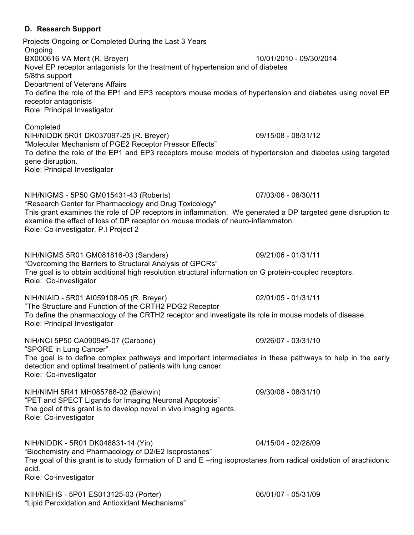**D. Research Support** Projects Ongoing or Completed During the Last 3 Years Ongoing BX000616 VA Merit (R. Breyer) 10/01/2010 - 09/30/2014 Novel EP receptor antagonists for the treatment of hypertension and of diabetes 5/8ths support Department of Veterans Affairs To define the role of the EP1 and EP3 receptors mouse models of hypertension and diabetes using novel EP receptor antagonists Role: Principal Investigator **Completed** NIH/NIDDK 5R01 DK037097-25 (R. Breyer) 09/15/08 - 08/31/12 "Molecular Mechanism of PGE2 Receptor Pressor Effects" To define the role of the EP1 and EP3 receptors mouse models of hypertension and diabetes using targeted gene disruption. Role: Principal Investigator NIH/NIGMS - 5P50 GM015431-43 (Roberts) 07/03/06 - 06/30/11 "Research Center for Pharmacology and Drug Toxicology" This grant examines the role of DP receptors in inflammation. We generated a DP targeted gene disruption to examine the effect of loss of DP receptor on mouse models of neuro-inflammaton. Role: Co-investigator, P.I Project 2 NIH/NIGMS 5R01 GM081816-03 (Sanders) 09/21/06 - 01/31/11 "Overcoming the Barriers to Structural Analysis of GPCRs" The goal is to obtain additional high resolution structural information on G protein-coupled receptors. Role: Co-investigator NIH/NIAID - 5R01 AI059108-05 (R. Breyer) 02/01/05 - 01/31/11 "The Structure and Function of the CRTH2 PDG2 Receptor To define the pharmacology of the CRTH2 receptor and investigate its role in mouse models of disease. Role: Principal Investigator NIH/NCI 5P50 CA090949-07 (Carbone) 09/26/07 - 03/31/10 "SPORE in Lung Cancer" The goal is to define complex pathways and important intermediates in these pathways to help in the early

NIH/NIMH 5R41 MH085768-02 (Baldwin) 09/30/08 - 08/31/10 "PET and SPECT Ligands for Imaging Neuronal Apoptosis" The goal of this grant is to develop novel in vivo imaging agents. Role: Co-investigator

detection and optimal treatment of patients with lung cancer.

Role: Co-investigator

NIH/NIDDK - 5R01 DK048831-14 (Yin) 04/15/04 - 02/28/09 "Biochemistry and Pharmacology of D2/E2 Isoprostanes" The goal of this grant is to study formation of D and E –ring isoprostanes from radical oxidation of arachidonic acid. Role: Co-investigator

NIH/NIEHS - 5P01 ES013125-03 (Porter) 06/01/07 - 05/31/09 "Lipid Peroxidation and Antioxidant Mechanisms"